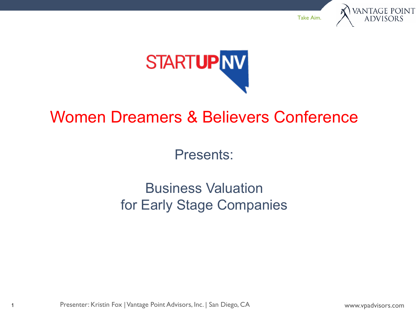



## Women Dreamers & Believers Conference

Presents:

Business Valuation for Early Stage Companies

Presenter: Kristin Fox | Vantage Point Advisors, Inc. | San Diego, CA

1

www.vpadvisors.com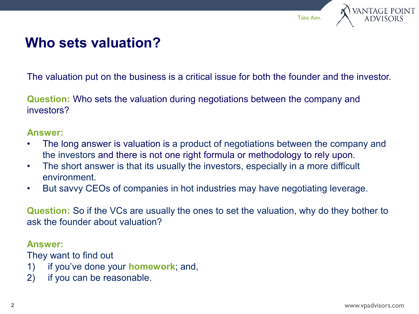



#### **Who sets valuation?**

The valuation put on the business is a critical issue for both the founder and the investor.

**Question:** Who sets the valuation during negotiations between the company and investors?

#### **Answer:**

- The long answer is valuation is a product of negotiations between the company and the investors and there is not one right formula or methodology to rely upon.
- The short answer is that its usually the investors, especially in a more difficult environment.
- But savvy CEOs of companies in hot industries may have negotiating leverage.

**Question:** So if the VCs are usually the ones to set the valuation, why do they bother to ask the founder about valuation?

#### **Answer:**

They want to find out

- 1) if you've done your **homework**; and,
- 2) if you can be reasonable.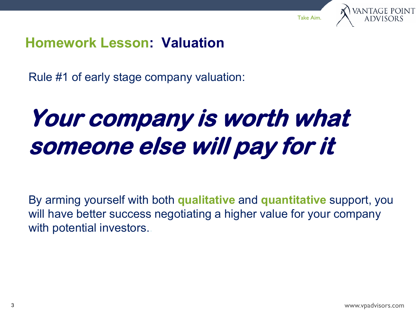

#### **Homework Lesson: Valuation**

Rule #1 of early stage company valuation:

# **Your company is worth what someone else will pay for it**

By arming yourself with both **qualitative** and **quantitative** support, you will have better success negotiating a higher value for your company with potential investors..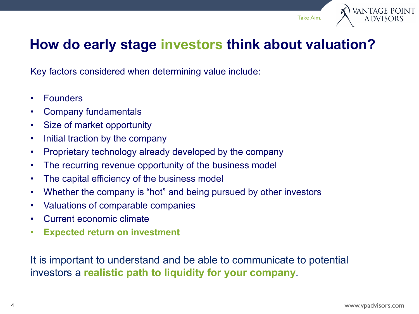

#### **How do early stage investors think about valuation?**

Key factors considered when determining value include:

- Founders
- Company fundamentals
- Size of market opportunity
- Initial traction by the company
- Proprietary technology already developed by the company
- The recurring revenue opportunity of the business model
- The capital efficiency of the business model
- Whether the company is "hot" and being pursued by other investors
- Valuations of comparable companies
- Current economic climate
- **Expected return on investment**

It is important to understand and be able to communicate to potential investors a **realistic path to liquidity for your company**.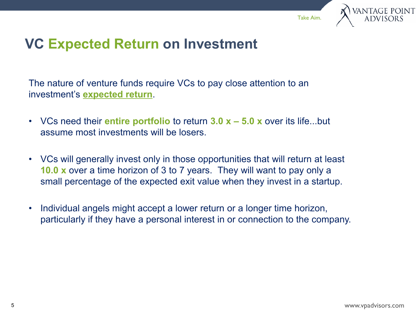

### **VC Expected Return on Investment**

The nature of venture funds require VCs to pay close attention to an investment's **expected return**.

- VCs need their **entire portfolio** to return **3.0 x – 5.0 x** over its life...but assume most investments will be losers.
- VCs will generally invest only in those opportunities that will return at least **10.0 x** over a time horizon of 3 to 7 years. They will want to pay only a small percentage of the expected exit value when they invest in a startup.
- Individual angels might accept a lower return or a longer time horizon, particularly if they have a personal interest in or connection to the company.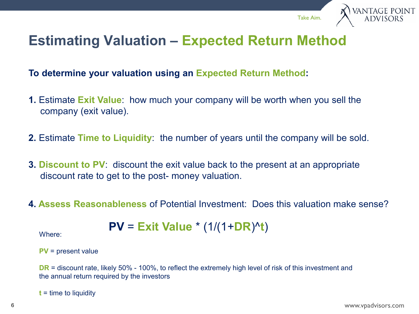

#### **Estimating Valuation – Expected Return Method**

**To determine your valuation using an Expected Return Method:**

- **1.** Estimate **Exit Value**: how much your company will be worth when you sell the company (exit value).
- **2.** Estimate **Time to Liquidity**: the number of years until the company will be sold.
- **3. Discount to PV:** discount the exit value back to the present at an appropriate discount rate to get to the post- money valuation.
- **4. Assess Reasonableness** of Potential Investment: Does this valuation make sense?

$$
PV = \text{Exit Value} * (1/(1+DR)^{A}t)
$$

```
PV = present value
```
**DR** = discount rate, likely 50% - 100%, to reflect the extremely high level of risk of this investment and the annual return required by the investors

**t** = time to liquidity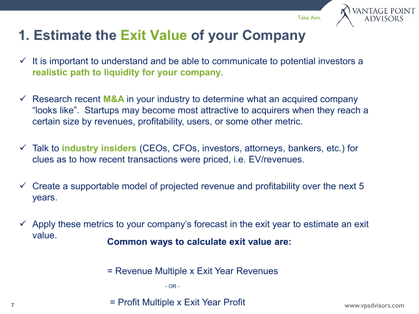

## **1. Estimate the Exit Value of your Company**

- $\checkmark$  It is important to understand and be able to communicate to potential investors a **realistic path to liquidity for your company**.
- $\checkmark$  Research recent **M&A** in your industry to determine what an acquired company "looks like". Startups may become most attractive to acquirers when they reach a certain size by revenues, profitability, users, or some other metric.
- Talk to **industry insiders** (CEOs, CFOs, investors, attorneys, bankers, etc.) for clues as to how recent transactions were priced, i.e. EV/revenues.
- $\checkmark$  Create a supportable model of projected revenue and profitability over the next 5 years.
- $\checkmark$  Apply these metrics to your company's forecast in the exit year to estimate an exit value. **Common ways to calculate exit value are:**
	- = Revenue Multiple x Exit Year Revenues

- OR -

= Profit Multiple x Exit Year Profit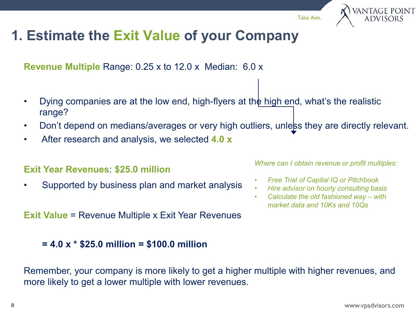ANTAGE POINT<br>Advisors

## **1. Estimate the Exit Value of your Company**

**Revenue Multiple** Range: 0.25 x to 12.0 x Median: 6.0 x

- Dying companies are at the low end, high-flyers at the high end, what's the realistic range?
- Don't depend on medians/averages or very high outliers, unless they are directly relevant.
- After research and analysis, we selected **4.0 x**

#### **Exit Year Revenues**: **\$25.0 million**

• Supported by business plan and market analysis

**Exit Value = Revenue Multiple x Exit Year Revenues** 

#### **= 4.0 x \* \$25.0 million = \$100.0 million**

*Where can I obtain revenue or profit multiples:*

- *Free Trial of Capital IQ or Pitchbook*
- *Hire advisor on hourly consulting basis*
- *Calculate the old fashioned way – with market data and 10Ks and 10Qs*

Remember, your company is more likely to get a higher multiple with higher revenues, and more likely to get a lower multiple with lower revenues.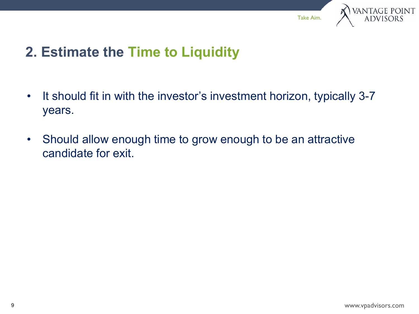

### **2. Estimate the Time to Liquidity**

- It should fit in with the investor's investment horizon, typically 3-7 years.
- Should allow enough time to grow enough to be an attractive candidate for exit.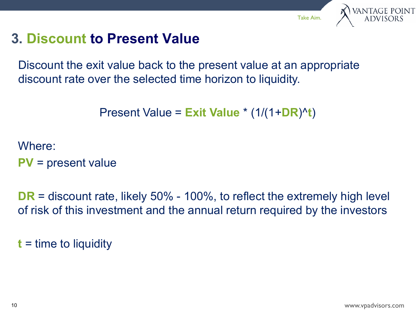# VANTAGE POINT<br>ADVISORS

Take Aim.

### **3. Discount to Present Value**

Discount the exit value back to the present value at an appropriate discount rate over the selected time horizon to liquidity.

```
Present Value = Exit Value * (1/(1+DR)^t)
```
Where:

**PV** = present value

**DR** = discount rate, likely 50% - 100%, to reflect the extremely high level of risk of this investment and the annual return required by the investors

**t** = time to liquidity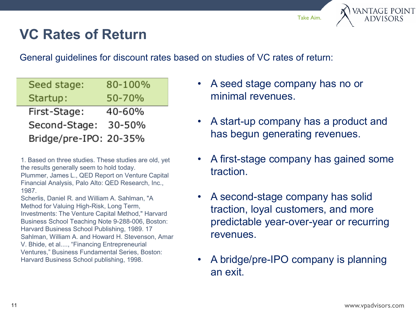# ANTAGE POINT<br>Advisors

## **VC Rates of Return**

General guidelines for discount rates based on studies of VC rates of return:

| Seed stage:            | 80-100% |
|------------------------|---------|
| Startup:               | 50-70%  |
| First-Stage:           | 40-60%  |
| Second-Stage:          | 30-50%  |
| Bridge/pre-IPO: 20-35% |         |

1. Based on three studies. These studies are old, yet the results generally seem to hold today.

Plummer, James L., QED Report on Venture Capital Financial Analysis, Palo Alto: QED Research, Inc., 1987.

Scherlis, Daniel R. and William A. Sahlman, "A Method for Valuing High-Risk, Long Term, Investments: The Venture Capital Method," Harvard Business School Teaching Note 9-288-006, Boston: Harvard Business School Publishing, 1989. 17 Sahlman, William A. and Howard H. Stevenson, Amar V. Bhide, et al...., "Financing Entrepreneurial Ventures," Business Fundamental Series, Boston: Harvard Business School publishing, 1998.

- A seed stage company has no or minimal revenues.
- A start-up company has a product and has begun generating revenues.
- A first-stage company has gained some traction.
- A second-stage company has solid traction, loyal customers, and more predictable year-over-year or recurring revenues.
- A bridge/pre-IPO company is planning an exit.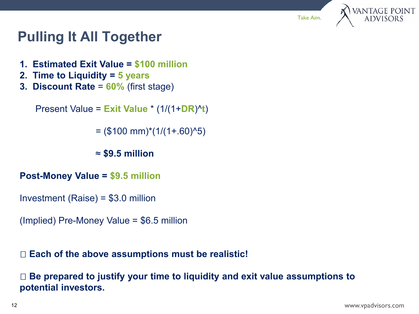

### **Pulling It All Together**

- **1. Estimated Exit Value = \$100 million**
- **2. Time to Liquidity = 5 years**
- **3. Discount Rate** = **60%** (first stage)

Present Value = **Exit Value** \* (1/(1+**DR**)^**t**)

 $=$  (\$100 mm)\*(1/(1+.60)^5)

≈ **\$9.5 million**

- **Post-Money Value = \$9.5 million**
- Investment (Raise) = \$3.0 million
- (Implied) Pre-Money Value = \$6.5 million

#### **Each of the above assumptions must be realistic!**

 **Be prepared to justify your time to liquidity and exit value assumptions to potential investors.**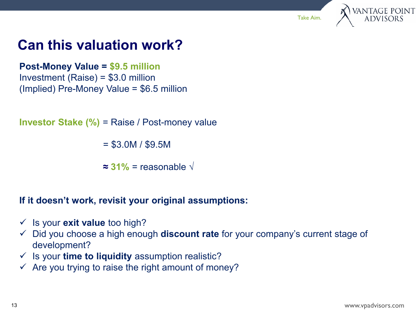



### **Can this valuation work?**

**Post-Money Value = \$9.5 million**  Investment (Raise) = \$3.0 million (Implied) Pre-Money Value = \$6.5 million

**Investor Stake (%)** = Raise / Post-money value

 $=$  \$3.0M / \$9.5M

**≈ 31%** = reasonable **√**

**If it doesn't work, revisit your original assumptions:**

- $\checkmark$  Is your **exit value** too high?
- Did you choose a high enough **discount rate** for your company's current stage of development?
- Is your **time to liquidity** assumption realistic?
- $\checkmark$  Are you trying to raise the right amount of money?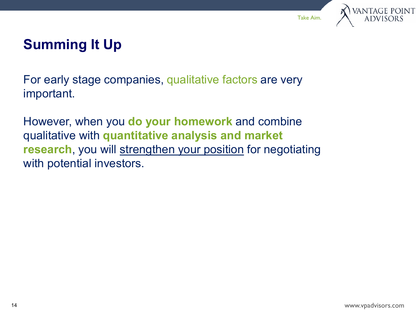



## **Summing It Up**

For early stage companies, qualitative factors are very important.

However, when you **do your homework** and combine qualitative with **quantitative analysis and market research**, you will strengthen your position for negotiating with potential investors.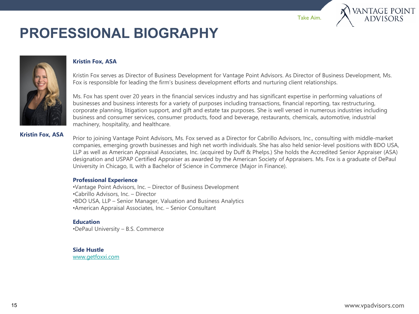# ANTAGE POINT<br>Advisors

# **PROFESSIONAL BIOGRAPHY**



#### **Kristin Fox, ASA**

Kristin Fox serves as Director of Business Development for Vantage Point Advisors. As Director of Business Development, Ms. Fox is responsible for leading the firm's business development efforts and nurturing client relationships.

Ms. Fox has spent over 20 years in the financial services industry and has significant expertise in performing valuations of businesses and business interests for a variety of purposes including transactions, financial reporting, tax restructuring, corporate planning, litigation support, and gift and estate tax purposes. She is well versed in numerous industries including business and consumer services, consumer products, food and beverage, restaurants, chemicals, automotive, industrial machinery, hospitality, and healthcare.

#### **Kristin Fox, ASA**

Prior to joining Vantage Point Advisors, Ms. Fox served as a Director for Cabrillo Advisors, Inc., consulting with middle-market companies, emerging growth businesses and high net worth individuals. She has also held senior-level positions with BDO USA, LLP as well as American Appraisal Associates, Inc. (acquired by Duff & Phelps.) She holds the Accredited Senior Appraiser (ASA) designation and USPAP Certified Appraiser as awarded by the American Society of Appraisers. Ms. Fox is a graduate of DePaul University in Chicago, IL with a Bachelor of Science in Commerce (Major in Finance).

#### **Professional Experience**

•Vantage Point Advisors, Inc. – Director of Business Development •Cabrillo Advisors, Inc. – Director •BDO USA, LLP – Senior Manager, Valuation and Business Analytics •American Appraisal Associates, Inc. – Senior Consultant

#### **Education**

•DePaul University – B.S. Commerce

#### **Side Hustle**

[www.getfoxxi.com](http://www.getfoxxi.com/)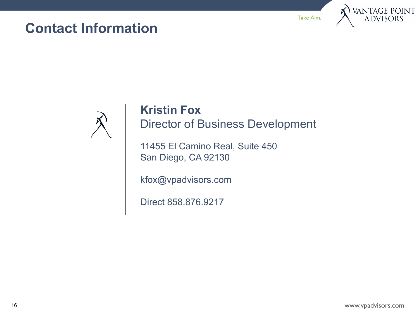#### **Contact Information**

Take Aim.





#### **Kristin Fox** Director of Business Development

11455 El Camino Real, Suite 450 San Diego, CA 92130

kfox@vpadvisors.com

Direct 858.876.9217